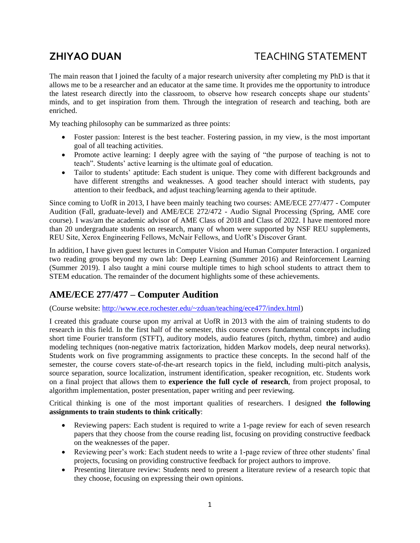# **ZHIYAO DUAN** TEACHING STATEMENT

The main reason that I joined the faculty of a major research university after completing my PhD is that it allows me to be a researcher and an educator at the same time. It provides me the opportunity to introduce the latest research directly into the classroom, to observe how research concepts shape our students' minds, and to get inspiration from them. Through the integration of research and teaching, both are enriched.

My teaching philosophy can be summarized as three points:

- Foster passion: Interest is the best teacher. Fostering passion, in my view, is the most important goal of all teaching activities.
- Promote active learning: I deeply agree with the saying of "the purpose of teaching is not to teach". Students' active learning is the ultimate goal of education.
- Tailor to students' aptitude: Each student is unique. They come with different backgrounds and have different strengths and weaknesses. A good teacher should interact with students, pay attention to their feedback, and adjust teaching/learning agenda to their aptitude.

Since coming to UofR in 2013, I have been mainly teaching two courses: AME/ECE 277/477 - Computer Audition (Fall, graduate-level) and AME/ECE 272/472 - Audio Signal Processing (Spring, AME core course). I was/am the academic advisor of AME Class of 2018 and Class of 2022. I have mentored more than 20 undergraduate students on research, many of whom were supported by NSF REU supplements, REU Site, Xerox Engineering Fellows, McNair Fellows, and UofR's Discover Grant.

In addition, I have given guest lectures in Computer Vision and Human Computer Interaction. I organized two reading groups beyond my own lab: Deep Learning (Summer 2016) and Reinforcement Learning (Summer 2019). I also taught a mini course multiple times to high school students to attract them to STEM education. The remainder of the document highlights some of these achievements.

# **AME/ECE 277/477 – Computer Audition**

(Course website: [http://www.ece.rochester.edu/~zduan/teaching/ece477/index.html\)](http://www.ece.rochester.edu/~zduan/teaching/ece477/index.html)

I created this graduate course upon my arrival at UofR in 2013 with the aim of training students to do research in this field. In the first half of the semester, this course covers fundamental concepts including short time Fourier transform (STFT), auditory models, audio features (pitch, rhythm, timbre) and audio modeling techniques (non-negative matrix factorization, hidden Markov models, deep neural networks). Students work on five programming assignments to practice these concepts. In the second half of the semester, the course covers state-of-the-art research topics in the field, including multi-pitch analysis, source separation, source localization, instrument identification, speaker recognition, etc. Students work on a final project that allows them to **experience the full cycle of research**, from project proposal, to algorithm implementation, poster presentation, paper writing and peer reviewing.

Critical thinking is one of the most important qualities of researchers. I designed **the following assignments to train students to think critically**:

- Reviewing papers: Each student is required to write a 1-page review for each of seven research papers that they choose from the course reading list, focusing on providing constructive feedback on the weaknesses of the paper.
- Reviewing peer's work: Each student needs to write a 1-page review of three other students' final projects, focusing on providing constructive feedback for project authors to improve.
- Presenting literature review: Students need to present a literature review of a research topic that they choose, focusing on expressing their own opinions.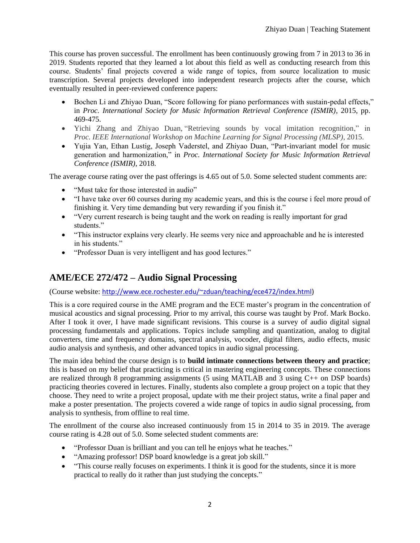This course has proven successful. The enrollment has been continuously growing from 7 in 2013 to 36 in 2019. Students reported that they learned a lot about this field as well as conducting research from this course. Students' final projects covered a wide range of topics, from source localization to music transcription. Several projects developed into independent research projects after the course, which eventually resulted in peer-reviewed conference papers:

- Bochen Li and Zhiyao Duan, "Score following for piano performances with sustain-pedal effects," in *Proc. International Society for Music Information Retrieval Conference (ISMIR)*, 2015, pp. 469-475.
- Yichi Zhang and Zhiyao Duan, "Retrieving sounds by vocal imitation recognition," in *Proc. IEEE International Workshop on Machine Learning for Signal Processing (MLSP)*, 2015.
- Yujia Yan, Ethan Lustig, Joseph Vaderstel, and Zhiyao Duan, "Part-invariant model for music generation and harmonization," in *Proc. International Society for Music Information Retrieval Conference (ISMIR)*, 2018.

The average course rating over the past offerings is 4.65 out of 5.0. Some selected student comments are:

- "Must take for those interested in audio"
- "I have take over 60 courses during my academic years, and this is the course i feel more proud of finishing it. Very time demanding but very rewarding if you finish it."
- "Very current research is being taught and the work on reading is really important for grad students."
- "This instructor explains very clearly. He seems very nice and approachable and he is interested in his students."
- "Professor Duan is very intelligent and has good lectures."

# **AME/ECE 272/472 – Audio Signal Processing**

(Course website: [http://www.ece.rochester.edu/~zduan/teaching/ece472/index.html\)](http://www.ece.rochester.edu/~zduan/teaching/ece472/index.html)

This is a core required course in the AME program and the ECE master's program in the concentration of musical acoustics and signal processing. Prior to my arrival, this course was taught by Prof. Mark Bocko. After I took it over, I have made significant revisions. This course is a survey of audio digital signal processing fundamentals and applications. Topics include sampling and quantization, analog to digital converters, time and frequency domains, spectral analysis, vocoder, digital filters, audio effects, music audio analysis and synthesis, and other advanced topics in audio signal processing.

The main idea behind the course design is to **build intimate connections between theory and practice**; this is based on my belief that practicing is critical in mastering engineering concepts. These connections are realized through 8 programming assignments (5 using MATLAB and 3 using  $C_{++}$  on DSP boards) practicing theories covered in lectures. Finally, students also complete a group project on a topic that they choose. They need to write a project proposal, update with me their project status, write a final paper and make a poster presentation. The projects covered a wide range of topics in audio signal processing, from analysis to synthesis, from offline to real time.

The enrollment of the course also increased continuously from 15 in 2014 to 35 in 2019. The average course rating is 4.28 out of 5.0. Some selected student comments are:

- "Professor Duan is brilliant and you can tell he enjoys what he teaches."
- "Amazing professor! DSP board knowledge is a great job skill."
- "This course really focuses on experiments. I think it is good for the students, since it is more practical to really do it rather than just studying the concepts."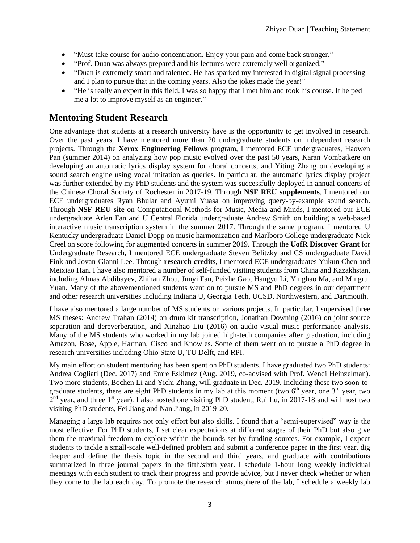- "Must-take course for audio concentration. Enjoy your pain and come back stronger."
- "Prof. Duan was always prepared and his lectures were extremely well organized."
- "Duan is extremely smart and talented. He has sparked my interested in digital signal processing and I plan to pursue that in the coming years. Also the jokes made the year!"
- "He is really an expert in this field. I was so happy that I met him and took his course. It helped me a lot to improve myself as an engineer."

# **Mentoring Student Research**

One advantage that students at a research university have is the opportunity to get involved in research. Over the past years, I have mentored more than 20 undergraduate students on independent research projects. Through the **Xerox Engineering Fellows** program, I mentored ECE undergraduates, Haowen Pan (summer 2014) on analyzing how pop music evolved over the past 50 years, Karan Vombatkere on developing an automatic lyrics display system for choral concerts, and Yiting Zhang on developing a sound search engine using vocal imitation as queries. In particular, the automatic lyrics display project was further extended by my PhD students and the system was successfully deployed in annual concerts of the Chinese Choral Society of Rochester in 2017-19. Through **NSF REU supplements**, I mentored our ECE undergraduates Ryan Bhular and Ayumi Yuasa on improving query-by-example sound search. Through **NSF REU site** on Computational Methods for Music, Media and Minds, I mentored our ECE undergraduate Arlen Fan and U Central Florida undergraduate Andrew Smith on building a web-based interactive music transcription system in the summer 2017. Through the same program, I mentored U Kentucky undergraduate Daniel Dopp on music harmonization and Marlboro College undergraduate Nick Creel on score following for augmented concerts in summer 2019. Through the **UofR Discover Grant** for Undergraduate Research, I mentored ECE undergraduate Steven Belitzky and CS undergraduate David Fink and Jovan-Gianni Lee. Through **research credits**, I mentored ECE undergraduates Yukun Chen and Meixiao Han. I have also mentored a number of self-funded visiting students from China and Kazakhstan, including Almas Abdibayev, Zhihan Zhou, Junyi Fan, Peizhe Gao, Hangyu Li, Yinghao Ma, and Mingrui Yuan. Many of the abovementioned students went on to pursue MS and PhD degrees in our department and other research universities including Indiana U, Georgia Tech, UCSD, Northwestern, and Dartmouth.

I have also mentored a large number of MS students on various projects. In particular, I supervised three MS theses: Andrew Trahan (2014) on drum kit transcription, Jonathan Downing (2016) on joint source separation and dereverberation, and Xinzhao Liu (2016) on audio-visual music performance analysis. Many of the MS students who worked in my lab joined high-tech companies after graduation, including Amazon, Bose, Apple, Harman, Cisco and Knowles. Some of them went on to pursue a PhD degree in research universities including Ohio State U, TU Delft, and RPI.

My main effort on student mentoring has been spent on PhD students. I have graduated two PhD students: Andrea Cogliati (Dec. 2017) and Emre Eskimez (Aug. 2019, co-advised with Prof. Wendi Heinzelman). Two more students, Bochen Li and Yichi Zhang, will graduate in Dec. 2019. Including these two soon-tograduate students, there are eight PhD students in my lab at this moment (two  $6<sup>th</sup>$  year, one  $3<sup>rd</sup>$  year, two  $2<sup>nd</sup>$  year, and three 1<sup>st</sup> year). I also hosted one visiting PhD student, Rui Lu, in 2017-18 and will host two visiting PhD students, Fei Jiang and Nan Jiang, in 2019-20.

Managing a large lab requires not only effort but also skills. I found that a "semi-supervised" way is the most effective. For PhD students, I set clear expectations at different stages of their PhD but also give them the maximal freedom to explore within the bounds set by funding sources. For example, I expect students to tackle a small-scale well-defined problem and submit a conference paper in the first year, dig deeper and define the thesis topic in the second and third years, and graduate with contributions summarized in three journal papers in the fifth/sixth year. I schedule 1-hour long weekly individual meetings with each student to track their progress and provide advice, but I never check whether or when they come to the lab each day. To promote the research atmosphere of the lab, I schedule a weekly lab